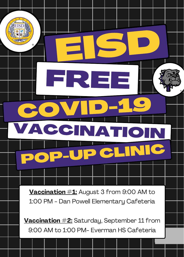ACCINATI **JP CLIN** 

FREE

COVID-19

EISD

Vaccination #1: August 3 from 9:00 AM to 1:00 PM - Dan Powell Elementary Cafeteria

**Vaccination**  $\#\textbf{2:}$  Saturday, September 11 from 9:00 AM to 1:00 PM- Everman HS Cafeteria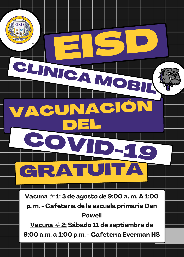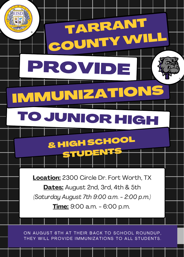

ON AUGUST 6TH AT THEIR BACK TO SCHOOL ROUNDUP, THEY WILL PROVIDE IMMUNIZATIONS TO ALL STUDENTS.